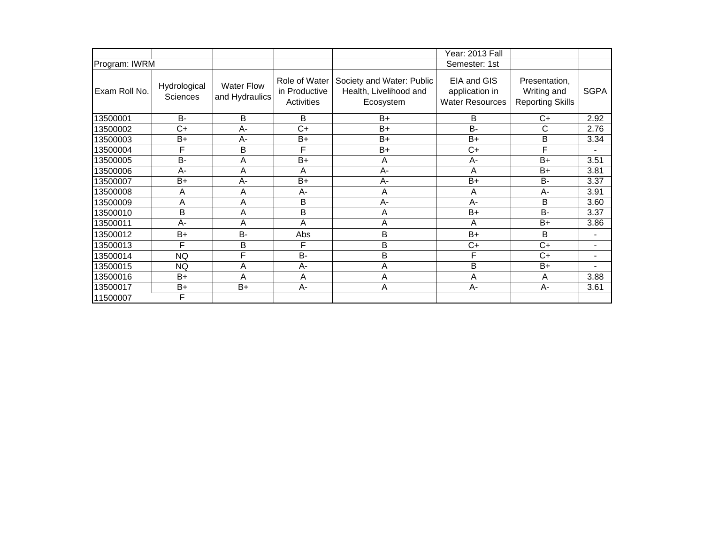|               |                          |                                     |                                                     |                                                                  | Year: 2013 Fall                                         |                                                         |                          |
|---------------|--------------------------|-------------------------------------|-----------------------------------------------------|------------------------------------------------------------------|---------------------------------------------------------|---------------------------------------------------------|--------------------------|
| Program: IWRM |                          |                                     |                                                     |                                                                  | Semester: 1st                                           |                                                         |                          |
| Exam Roll No. | Hydrological<br>Sciences | <b>Water Flow</b><br>and Hydraulics | Role of Water<br>in Productive<br><b>Activities</b> | Society and Water: Public<br>Health, Livelihood and<br>Ecosystem | EIA and GIS<br>application in<br><b>Water Resources</b> | Presentation,<br>Writing and<br><b>Reporting Skills</b> | <b>SGPA</b>              |
| 13500001      | $B -$                    | B                                   | B                                                   | $B+$                                                             | B                                                       | $C+$                                                    | 2.92                     |
| 13500002      | $C+$                     | A-                                  | $C+$                                                | $B+$                                                             | <b>B-</b>                                               | С                                                       | 2.76                     |
| 13500003      | B+                       | A-                                  | B+                                                  | $B+$                                                             | $B+$                                                    | B                                                       | 3.34                     |
| 13500004      | F                        | B                                   | F                                                   | $B+$                                                             | $C+$                                                    | F                                                       |                          |
| 13500005      | $B -$                    | A                                   | $B+$                                                | A                                                                | А-                                                      | $B+$                                                    | 3.51                     |
| 13500006      | $A -$                    | A                                   | Α                                                   | A-                                                               | A                                                       | B+                                                      | 3.81                     |
| 13500007      | $B+$                     | A-                                  | $B+$                                                | A-                                                               | $B+$                                                    | <b>B-</b>                                               | 3.37                     |
| 13500008      | Α                        | A                                   | A-                                                  | A                                                                | A                                                       | A-                                                      | 3.91                     |
| 13500009      | A                        | A                                   | B                                                   | A-                                                               | $A -$                                                   | B                                                       | 3.60                     |
| 13500010      | B                        | A                                   | B                                                   | A                                                                | B+                                                      | <b>B-</b>                                               | 3.37                     |
| 13500011      | $A -$                    | $\overline{A}$                      | A                                                   | $\overline{A}$                                                   | A                                                       | $B+$                                                    | 3.86                     |
| 13500012      | B+                       | B-                                  | Abs                                                 | B                                                                | $B+$                                                    | B                                                       | $\blacksquare$           |
| 13500013      | F                        | B                                   | F                                                   | B                                                                | $C+$                                                    | $C+$                                                    | $\blacksquare$           |
| 13500014      | <b>NQ</b>                | F                                   | <b>B-</b>                                           | B                                                                | F                                                       | $C+$                                                    | $\overline{\phantom{0}}$ |
| 13500015      | <b>NQ</b>                | A                                   | A-                                                  | A                                                                | B                                                       | B+                                                      |                          |
| 13500016      | B+                       | A                                   | A                                                   | Α                                                                | A                                                       | A                                                       | 3.88                     |
| 13500017      | B+                       | $B+$                                | A-                                                  | A                                                                | А-                                                      | A-                                                      | 3.61                     |
| 11500007      | F                        |                                     |                                                     |                                                                  |                                                         |                                                         |                          |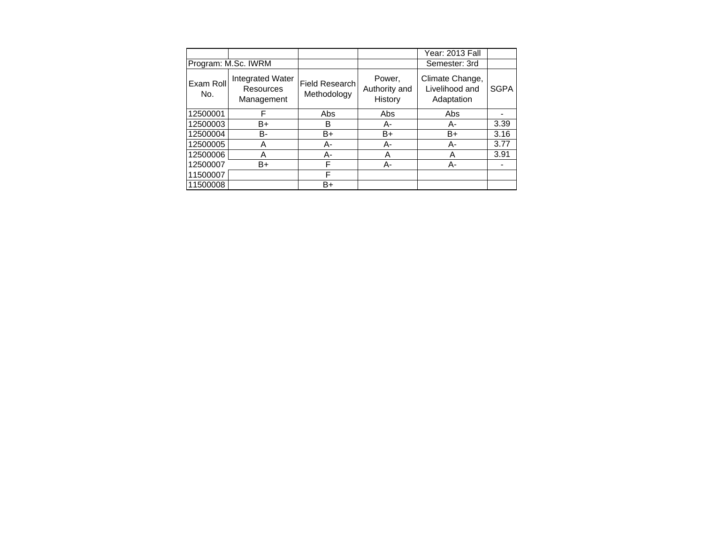|                     |                                             |                                      |                                    | Year: 2013 Fall                                 |             |
|---------------------|---------------------------------------------|--------------------------------------|------------------------------------|-------------------------------------------------|-------------|
| Program: M.Sc. IWRM |                                             |                                      |                                    | Semester: 3rd                                   |             |
| Exam Roll<br>No.    | Integrated Water<br>Resources<br>Management | <b>Field Research</b><br>Methodology | Power,<br>Authority and<br>History | Climate Change,<br>Livelihood and<br>Adaptation | <b>SGPA</b> |
| 12500001            | F                                           | Abs                                  | Abs                                | Abs                                             |             |
| 12500003            | B+                                          | B                                    | А-                                 | А-                                              | 3.39        |
| 12500004            | В-                                          | B+                                   | B+                                 | B+                                              | 3.16        |
| 12500005            | A                                           | А-                                   | А-                                 | А-                                              | 3.77        |
| 12500006            | Α                                           | А-                                   | A                                  | A                                               | 3.91        |
| 12500007            | B+                                          | F                                    | А-                                 | А-                                              |             |
| 11500007            |                                             | F                                    |                                    |                                                 |             |
| 11500008            |                                             | B+                                   |                                    |                                                 |             |